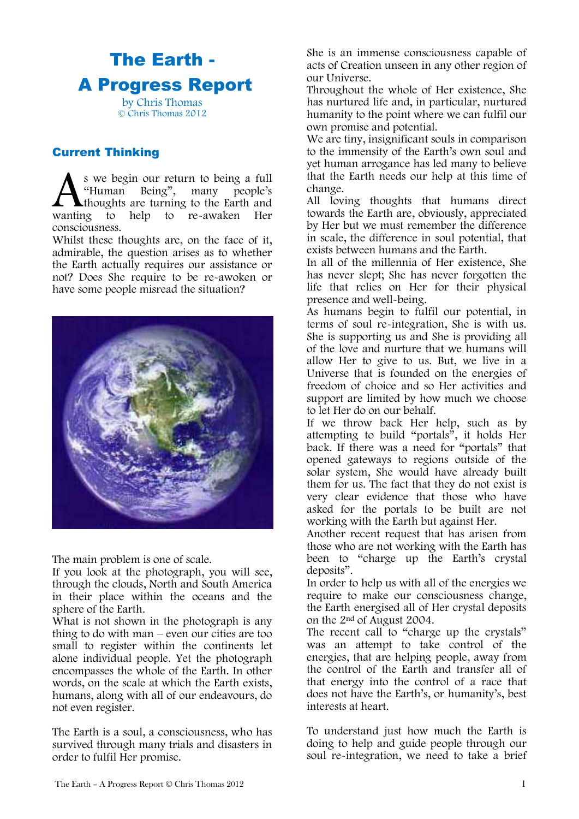# The Earth - A Progress Report by Chris Thomas

© Chris Thomas 2012

## Current Thinking

s we begin our return to being a full "Human Being", many people's thoughts are turning to the Earth and help to re-awaken Her consciousness. wanting to

Whilst these thoughts are, on the face of it, admirable, the question arises as to whether the Earth actually requires our assistance or not? Does She require to be re-awoken or have some people misread the situation?



The main problem is one of scale.

If you look at the photograph, you will see, through the clouds, North and South America in their place within the oceans and the sphere of the Earth.

What is not shown in the photograph is any thing to do with man – even our cities are too small to register within the continents let alone individual people. Yet the photograph encompasses the whole of the Earth. In other words, on the scale at which the Earth exists, humans, along with all of our endeavours, do not even register.

The Earth is a soul, a consciousness, who has survived through many trials and disasters in order to fulfil Her promise.

She is an immense consciousness capable of acts of Creation unseen in any other region of our Universe.

Throughout the whole of Her existence, She has nurtured life and, in particular, nurtured humanity to the point where we can fulfil our own promise and potential.

We are tiny, insignificant souls in comparison to the immensity of the Earth's own soul and yet human arrogance has led many to believe that the Earth needs our help at this time of change.

All loving thoughts that humans direct towards the Earth are, obviously, appreciated by Her but we must remember the difference in scale, the difference in soul potential, that exists between humans and the Earth.

In all of the millennia of Her existence, She has never slept; She has never forgotten the life that relies on Her for their physical presence and well-being.

As humans begin to fulfil our potential, in terms of soul re-integration, She is with us. She is supporting us and She is providing all of the love and nurture that we humans will allow Her to give to us. But, we live in a Universe that is founded on the energies of freedom of choice and so Her activities and support are limited by how much we choose to let Her do on our behalf.

If we throw back Her help, such as by attempting to build "portals", it holds Her back. If there was a need for "portals" that opened gateways to regions outside of the solar system, She would have already built them for us. The fact that they do not exist is very clear evidence that those who have asked for the portals to be built are not working with the Earth but against Her.

Another recent request that has arisen from those who are not working with the Earth has been to "charge up the Earth's crystal deposits".

In order to help us with all of the energies we require to make our consciousness change, the Earth energised all of Her crystal deposits on the 2nd of August 2004.

The recent call to "charge up the crystals" was an attempt to take control of the energies, that are helping people, away from the control of the Earth and transfer all of that energy into the control of a race that does not have the Earth's, or humanity's, best interests at heart.

To understand just how much the Earth is doing to help and guide people through our soul re-integration, we need to take a brief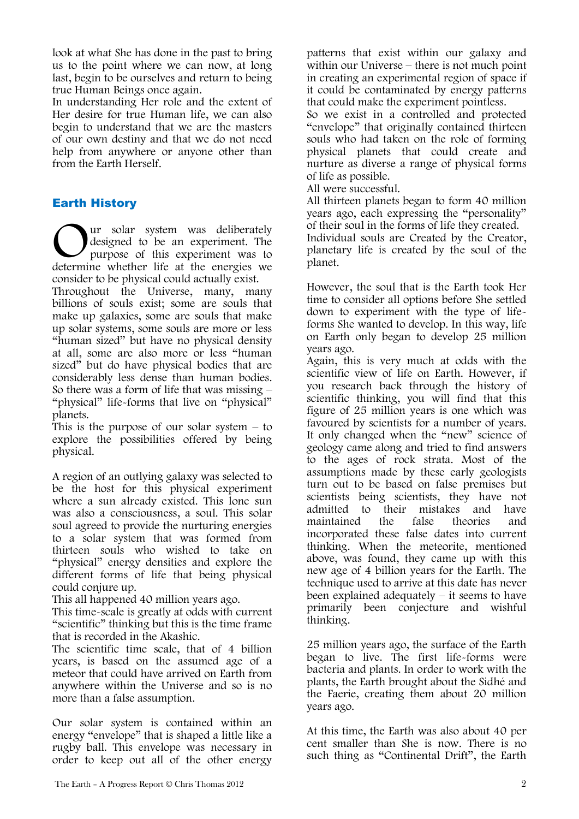look at what She has done in the past to bring us to the point where we can now, at long last, begin to be ourselves and return to being true Human Beings once again.

In understanding Her role and the extent of Her desire for true Human life, we can also begin to understand that we are the masters of our own destiny and that we do not need help from anywhere or anyone other than from the Earth Herself.

## Earth History

ur solar system was deliberately designed to be an experiment. The purpose of this experiment was to Ur solar system was deliberately<br>designed to be an experiment. The<br>determine whether life at the energies we consider to be physical could actually exist.

Throughout the Universe, many, many billions of souls exist; some are souls that make up galaxies, some are souls that make up solar systems, some souls are more or less "human sized" but have no physical density at all, some are also more or less "human sized" but do have physical bodies that are considerably less dense than human bodies. So there was a form of life that was missing – "physical" life-forms that live on "physical" planets.

This is the purpose of our solar system  $-$  to explore the possibilities offered by being physical.

A region of an outlying galaxy was selected to be the host for this physical experiment where a sun already existed. This lone sun was also a consciousness, a soul. This solar soul agreed to provide the nurturing energies to a solar system that was formed from thirteen souls who wished to take on "physical" energy densities and explore the different forms of life that being physical could conjure up.

This all happened 40 million years ago.

This time-scale is greatly at odds with current "scientific" thinking but this is the time frame that is recorded in the Akashic.

The scientific time scale, that of 4 billion years, is based on the assumed age of a meteor that could have arrived on Earth from anywhere within the Universe and so is no more than a false assumption.

Our solar system is contained within an energy "envelope" that is shaped a little like a rugby ball. This envelope was necessary in order to keep out all of the other energy patterns that exist within our galaxy and within our Universe – there is not much point in creating an experimental region of space if it could be contaminated by energy patterns that could make the experiment pointless.

So we exist in a controlled and protected "envelope" that originally contained thirteen souls who had taken on the role of forming physical planets that could create and nurture as diverse a range of physical forms of life as possible.

All were successful.

All thirteen planets began to form 40 million years ago, each expressing the "personality" of their soul in the forms of life they created.

Individual souls are Created by the Creator, planetary life is created by the soul of the planet.

However, the soul that is the Earth took Her time to consider all options before She settled down to experiment with the type of lifeforms She wanted to develop. In this way, life on Earth only began to develop 25 million years ago.

Again, this is very much at odds with the scientific view of life on Earth. However, if you research back through the history of scientific thinking, you will find that this figure of 25 million years is one which was favoured by scientists for a number of years. It only changed when the "new" science of geology came along and tried to find answers to the ages of rock strata. Most of the assumptions made by these early geologists turn out to be based on false premises but scientists being scientists, they have not admitted to their mistakes and have maintained the false theories and incorporated these false dates into current thinking. When the meteorite, mentioned above, was found, they came up with this new age of 4 billion years for the Earth. The technique used to arrive at this date has never been explained adequately – it seems to have primarily been conjecture and wishful thinking.

25 million years ago, the surface of the Earth began to live. The first life-forms were bacteria and plants. In order to work with the plants, the Earth brought about the Sidhé and the Faerie, creating them about 20 million years ago.

At this time, the Earth was also about 40 per cent smaller than She is now. There is no such thing as "Continental Drift", the Earth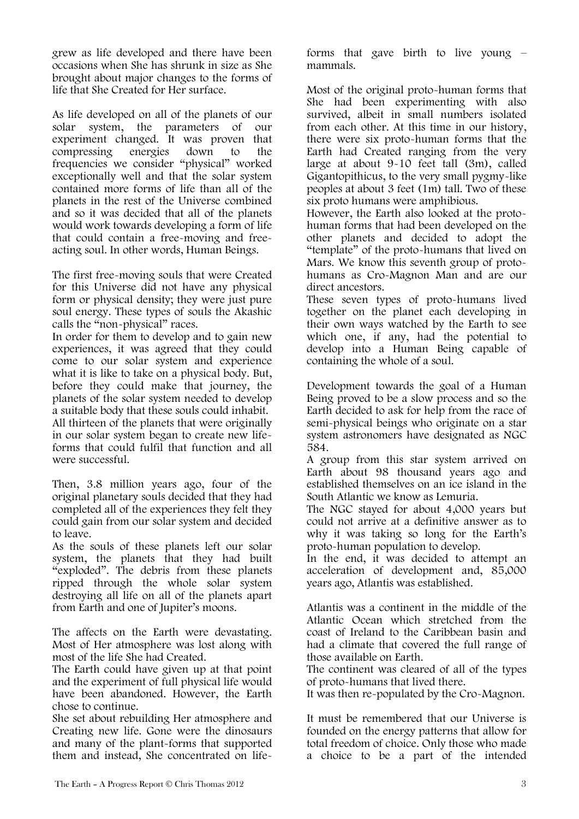grew as life developed and there have been occasions when She has shrunk in size as She brought about major changes to the forms of life that She Created for Her surface.

As life developed on all of the planets of our solar system, the parameters of our experiment changed. It was proven that compressing energies down to the frequencies we consider "physical" worked exceptionally well and that the solar system contained more forms of life than all of the planets in the rest of the Universe combined and so it was decided that all of the planets would work towards developing a form of life that could contain a free-moving and freeacting soul. In other words, Human Beings.

The first free-moving souls that were Created for this Universe did not have any physical form or physical density; they were just pure soul energy. These types of souls the Akashic calls the "non-physical" races.

In order for them to develop and to gain new experiences, it was agreed that they could come to our solar system and experience what it is like to take on a physical body. But, before they could make that journey, the planets of the solar system needed to develop a suitable body that these souls could inhabit. All thirteen of the planets that were originally in our solar system began to create new lifeforms that could fulfil that function and all were successful.

Then, 3.8 million years ago, four of the original planetary souls decided that they had completed all of the experiences they felt they could gain from our solar system and decided to leave.

As the souls of these planets left our solar system, the planets that they had built "exploded". The debris from these planets ripped through the whole solar system destroying all life on all of the planets apart from Earth and one of Jupiter's moons.

The affects on the Earth were devastating. Most of Her atmosphere was lost along with most of the life She had Created.

The Earth could have given up at that point and the experiment of full physical life would have been abandoned. However, the Earth chose to continue.

She set about rebuilding Her atmosphere and Creating new life. Gone were the dinosaurs and many of the plant-forms that supported them and instead, She concentrated on lifeforms that gave birth to live young – mammals.

Most of the original proto-human forms that She had been experimenting with also survived, albeit in small numbers isolated from each other. At this time in our history, there were six proto-human forms that the Earth had Created ranging from the very large at about 9-10 feet tall (3m), called Gigantopithicus, to the very small pygmy-like peoples at about 3 feet (1m) tall. Two of these six proto humans were amphibious.

However, the Earth also looked at the protohuman forms that had been developed on the other planets and decided to adopt the "template" of the proto-humans that lived on Mars. We know this seventh group of protohumans as Cro-Magnon Man and are our direct ancestors.

These seven types of proto-humans lived together on the planet each developing in their own ways watched by the Earth to see which one, if any, had the potential to develop into a Human Being capable of containing the whole of a soul.

Development towards the goal of a Human Being proved to be a slow process and so the Earth decided to ask for help from the race of semi-physical beings who originate on a star system astronomers have designated as NGC 584.

A group from this star system arrived on Earth about 98 thousand years ago and established themselves on an ice island in the South Atlantic we know as Lemuria.

The NGC stayed for about 4,000 years but could not arrive at a definitive answer as to why it was taking so long for the Earth's proto-human population to develop.

In the end, it was decided to attempt an acceleration of development and, 85,000 years ago, Atlantis was established.

Atlantis was a continent in the middle of the Atlantic Ocean which stretched from the coast of Ireland to the Caribbean basin and had a climate that covered the full range of those available on Earth.

The continent was cleared of all of the types of proto-humans that lived there.

It was then re-populated by the Cro-Magnon.

It must be remembered that our Universe is founded on the energy patterns that allow for total freedom of choice. Only those who made a choice to be a part of the intended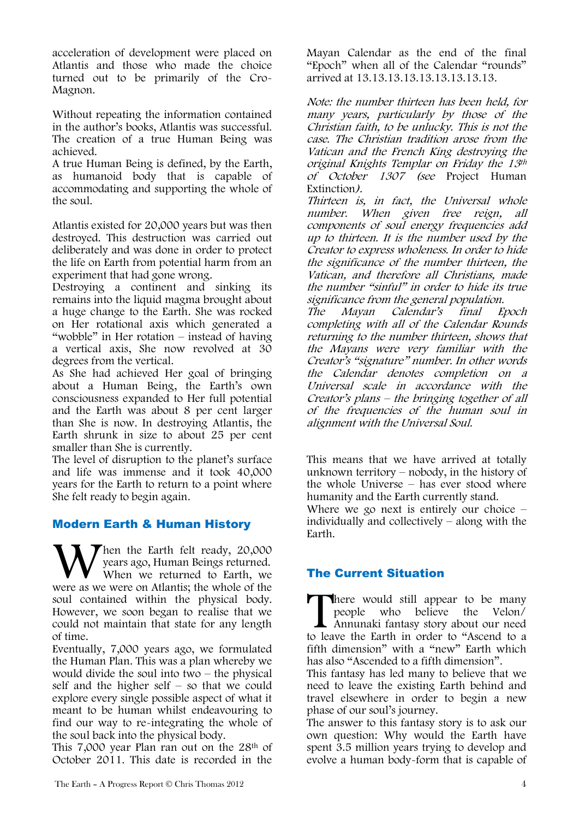acceleration of development were placed on Atlantis and those who made the choice turned out to be primarily of the Cro-Magnon.

Without repeating the information contained in the author's books, Atlantis was successful. The creation of a true Human Being was achieved.

A true Human Being is defined, by the Earth, as humanoid body that is capable of accommodating and supporting the whole of the soul.

Atlantis existed for 20,000 years but was then destroyed. This destruction was carried out deliberately and was done in order to protect the life on Earth from potential harm from an experiment that had gone wrong.

Destroying a continent and sinking its remains into the liquid magma brought about a huge change to the Earth. She was rocked on Her rotational axis which generated a "wobble" in Her rotation – instead of having a vertical axis, She now revolved at 30 degrees from the vertical.

As She had achieved Her goal of bringing about a Human Being, the Earth's own consciousness expanded to Her full potential and the Earth was about 8 per cent larger than She is now. In destroying Atlantis, the Earth shrunk in size to about 25 per cent smaller than She is currently.

The level of disruption to the planet's surface and life was immense and it took 40,000 years for the Earth to return to a point where She felt ready to begin again.

## Modern Earth & Human History

Then the Earth felt ready, 20,000 years ago, Human Beings returned. When we returned to Earth, we When the Earth felt ready, 20,000 years ago, Human Beings returned.<br>When we returned to Earth, we were as we were on Atlantis; the whole of the soul contained within the physical body. However, we soon began to realise that we could not maintain that state for any length of time.

Eventually, 7,000 years ago, we formulated the Human Plan. This was a plan whereby we would divide the soul into two – the physical self and the higher self – so that we could explore every single possible aspect of what it meant to be human whilst endeavouring to find our way to re-integrating the whole of the soul back into the physical body.

This 7,000 year Plan ran out on the 28<sup>th</sup> of October 2011. This date is recorded in the

Mayan Calendar as the end of the final "Epoch" when all of the Calendar "rounds" arrived at 13.13.13.13.13.13.13.13.13.

Note: the number thirteen has been held, for many years, particularly by those of the Christian faith, to be unlucky. This is not the case. The Christian tradition arose from the Vatican and the French King destroying the original Knights Templar on Friday the 13th of October 1307 (see Project Human Extinction).

Thirteen is, in fact, the Universal whole number. When given free reign, all components of soul energy frequencies add up to thirteen. It is the number used by the Creator to express wholeness. In order to hide the significance of the number thirteen, the Vatican, and therefore all Christians, made the number "sinful" in order to hide its true significance from the general population.

The Mayan Calendar's final Epoch completing with all of the Calendar Rounds returning to the number thirteen, shows that the Mayans were very familiar with the Creator's "signature" number. In other words the Calendar denotes completion on a Universal scale in accordance with the Creator's plans – the bringing together of all of the frequencies of the human soul in alignment with the Universal Soul.

This means that we have arrived at totally unknown territory – nobody, in the history of the whole Universe – has ever stood where humanity and the Earth currently stand.

Where we go next is entirely our choice – individually and collectively – along with the Earth.

## The Current Situation

There would still appear to be many people who believe the Velon/ Annunaki fantasy story about our need There would still appear to be many<br>people who believe the Velon/<br>Annunaki fantasy story about our need<br>to leave the Earth in order to "Ascend to a fifth dimension" with a "new" Earth which has also "Ascended to a fifth dimension".

This fantasy has led many to believe that we need to leave the existing Earth behind and travel elsewhere in order to begin a new phase of our soul's journey.

The answer to this fantasy story is to ask our own question: Why would the Earth have spent 3.5 million years trying to develop and evolve a human body-form that is capable of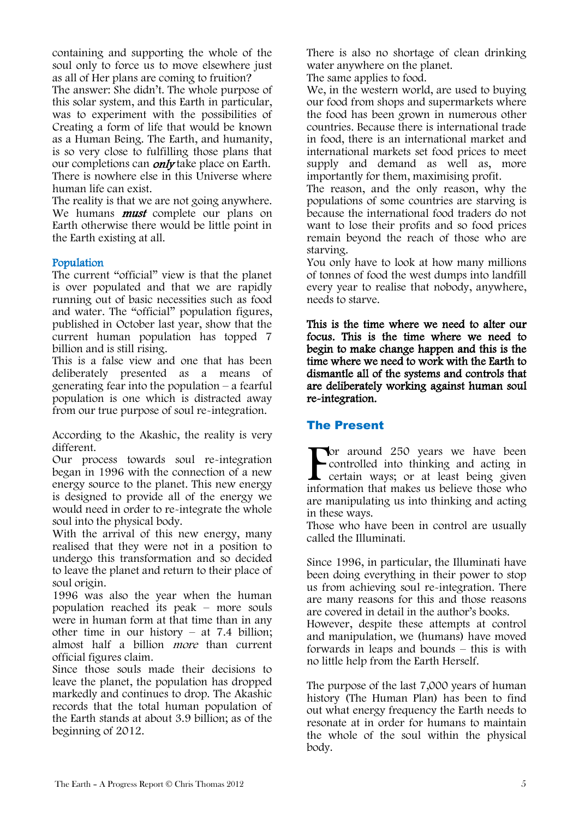containing and supporting the whole of the soul only to force us to move elsewhere just as all of Her plans are coming to fruition?

The answer: She didn't. The whole purpose of this solar system, and this Earth in particular, was to experiment with the possibilities of Creating a form of life that would be known as a Human Being. The Earth, and humanity, is so very close to fulfilling those plans that our completions can *only* take place on Earth. There is nowhere else in this Universe where human life can exist.

The reality is that we are not going anywhere. We humans **must** complete our plans on Earth otherwise there would be little point in the Earth existing at all.

#### Population

The current "official" view is that the planet is over populated and that we are rapidly running out of basic necessities such as food and water. The "official" population figures, published in October last year, show that the current human population has topped 7 billion and is still rising.

This is a false view and one that has been deliberately presented as a means of generating fear into the population – a fearful population is one which is distracted away from our true purpose of soul re-integration.

According to the Akashic, the reality is very different.

Our process towards soul re-integration began in 1996 with the connection of a new energy source to the planet. This new energy is designed to provide all of the energy we would need in order to re-integrate the whole soul into the physical body.

With the arrival of this new energy, many realised that they were not in a position to undergo this transformation and so decided to leave the planet and return to their place of soul origin.

1996 was also the year when the human population reached its peak – more souls were in human form at that time than in any other time in our history – at 7.4 billion; almost half a billion more than current official figures claim.

Since those souls made their decisions to leave the planet, the population has dropped markedly and continues to drop. The Akashic records that the total human population of the Earth stands at about 3.9 billion; as of the beginning of 2012.

There is also no shortage of clean drinking water anywhere on the planet.

The same applies to food.

We, in the western world, are used to buying our food from shops and supermarkets where the food has been grown in numerous other countries. Because there is international trade in food, there is an international market and international markets set food prices to meet supply and demand as well as, more importantly for them, maximising profit.

The reason, and the only reason, why the populations of some countries are starving is because the international food traders do not want to lose their profits and so food prices remain beyond the reach of those who are starving.

You only have to look at how many millions of tonnes of food the west dumps into landfill every year to realise that nobody, anywhere, needs to starve.

This is the time where we need to alter our focus. This is the time where we need to begin to make change happen and this is the time where we need to work with the Earth to dismantle all of the systems and controls that are deliberately working against human soul re-integration.

#### The Present

**Tor** around 250 years we have been controlled into thinking and acting in certain ways; or at least being given **For around 250 years we have been**<br>controlled into thinking and acting in<br>certain ways; or at least being given<br>information that makes us believe those who are manipulating us into thinking and acting in these ways.

Those who have been in control are usually called the Illuminati.

Since 1996, in particular, the Illuminati have been doing everything in their power to stop us from achieving soul re-integration. There are many reasons for this and those reasons are covered in detail in the author's books. However, despite these attempts at control and manipulation, we (humans) have moved forwards in leaps and bounds – this is with no little help from the Earth Herself.

The purpose of the last 7,000 years of human history (The Human Plan) has been to find out what energy frequency the Earth needs to resonate at in order for humans to maintain the whole of the soul within the physical body.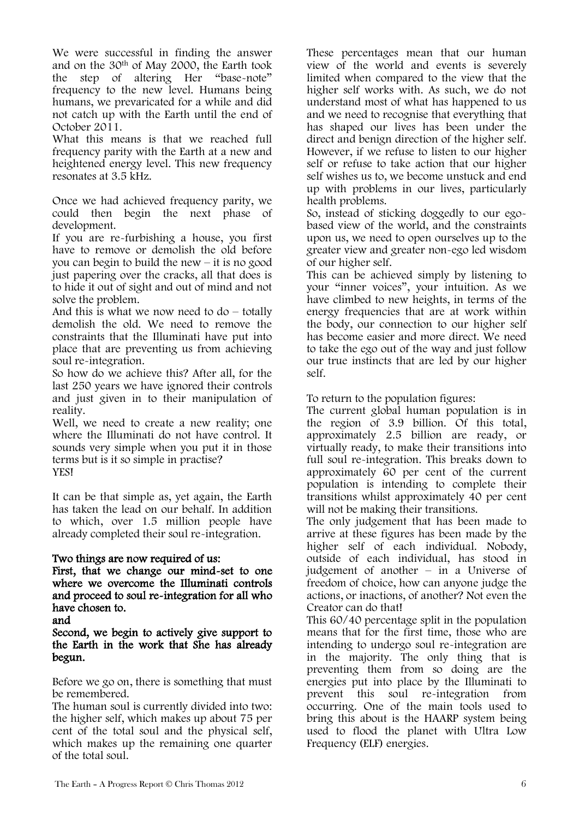We were successful in finding the answer and on the 30th of May 2000, the Earth took the step of altering Her "base-note" frequency to the new level. Humans being humans, we prevaricated for a while and did not catch up with the Earth until the end of October 2011.

What this means is that we reached full frequency parity with the Earth at a new and heightened energy level. This new frequency resonates at 3.5 kHz.

Once we had achieved frequency parity, we could then begin the next phase of development.

If you are re-furbishing a house, you first have to remove or demolish the old before you can begin to build the new – it is no good just papering over the cracks, all that does is to hide it out of sight and out of mind and not solve the problem.

And this is what we now need to  $d\sigma$  – totally demolish the old. We need to remove the constraints that the Illuminati have put into place that are preventing us from achieving soul re-integration.

So how do we achieve this? After all, for the last 250 years we have ignored their controls and just given in to their manipulation of reality.

Well, we need to create a new reality; one where the Illuminati do not have control. It sounds very simple when you put it in those terms but is it so simple in practise? YES!

It can be that simple as, yet again, the Earth has taken the lead on our behalf. In addition to which, over 1.5 million people have already completed their soul re-integration.

#### Two things are now required of us:

First, that we change our mind-set to one where we overcome the Illuminati controls and proceed to soul re-integration for all who have chosen to.

Second, we begin to actively give support to the Earth in the work that She has already begun.

Before we go on, there is something that must be remembered.

The human soul is currently divided into two: the higher self, which makes up about 75 per cent of the total soul and the physical self, which makes up the remaining one quarter of the total soul.

These percentages mean that our human view of the world and events is severely limited when compared to the view that the higher self works with. As such, we do not understand most of what has happened to us and we need to recognise that everything that has shaped our lives has been under the direct and benign direction of the higher self. However, if we refuse to listen to our higher self or refuse to take action that our higher self wishes us to, we become unstuck and end up with problems in our lives, particularly health problems.

So, instead of sticking doggedly to our egobased view of the world, and the constraints upon us, we need to open ourselves up to the greater view and greater non-ego led wisdom of our higher self.

This can be achieved simply by listening to your "inner voices", your intuition. As we have climbed to new heights, in terms of the energy frequencies that are at work within the body, our connection to our higher self has become easier and more direct. We need to take the ego out of the way and just follow our true instincts that are led by our higher self.

To return to the population figures:

The current global human population is in the region of 3.9 billion. Of this total, approximately 2.5 billion are ready, or virtually ready, to make their transitions into full soul re-integration. This breaks down to approximately 60 per cent of the current population is intending to complete their transitions whilst approximately 40 per cent will not be making their transitions.

The only judgement that has been made to arrive at these figures has been made by the higher self of each individual. Nobody, outside of each individual, has stood in judgement of another – in a Universe of freedom of choice, how can anyone judge the actions, or inactions, of another? Not even the Creator can do that!

This 60/40 percentage split in the population means that for the first time, those who are intending to undergo soul re-integration are in the majority. The only thing that is preventing them from so doing are the energies put into place by the Illuminati to prevent this soul re-integration from occurring. One of the main tools used to bring this about is the HAARP system being used to flood the planet with Ultra Low Frequency (ELF) energies.

and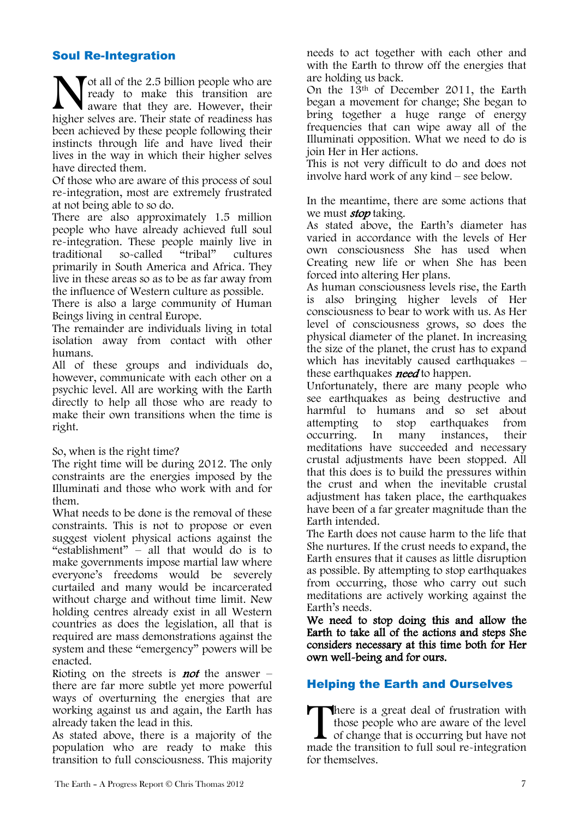### Soul Re-Integration

 $\blacktriangledown$  ot all of the 2.5 billion people who are ready to make this transition are wavare that they are. However, their Not all of the 2.5 billion people who are<br>ready to make this transition are<br>higher selves are. Their state of readiness has been achieved by these people following their instincts through life and have lived their lives in the way in which their higher selves have directed them.

Of those who are aware of this process of soul re-integration, most are extremely frustrated at not being able to so do.

There are also approximately 1.5 million people who have already achieved full soul re-integration. These people mainly live in traditional so-called "tribal" cultures primarily in South America and Africa. They live in these areas so as to be as far away from the influence of Western culture as possible.

There is also a large community of Human Beings living in central Europe.

The remainder are individuals living in total isolation away from contact with other humans.

All of these groups and individuals do, however, communicate with each other on a psychic level. All are working with the Earth directly to help all those who are ready to make their own transitions when the time is right.

So, when is the right time?

The right time will be during 2012. The only constraints are the energies imposed by the Illuminati and those who work with and for them.

What needs to be done is the removal of these constraints. This is not to propose or even suggest violent physical actions against the "establishment" – all that would do is to make governments impose martial law where everyone's freedoms would be severely curtailed and many would be incarcerated without charge and without time limit. New holding centres already exist in all Western countries as does the legislation, all that is required are mass demonstrations against the system and these "emergency" powers will be enacted.

Rioting on the streets is **not** the answer – there are far more subtle yet more powerful ways of overturning the energies that are working against us and again, the Earth has already taken the lead in this.

As stated above, there is a majority of the population who are ready to make this transition to full consciousness. This majority needs to act together with each other and with the Earth to throw off the energies that are holding us back.

On the 13th of December 2011, the Earth began a movement for change; She began to bring together a huge range of energy frequencies that can wipe away all of the Illuminati opposition. What we need to do is join Her in Her actions.

This is not very difficult to do and does not involve hard work of any kind – see below.

In the meantime, there are some actions that we must **stop** taking.

As stated above, the Earth's diameter has varied in accordance with the levels of Her own consciousness She has used when Creating new life or when She has been forced into altering Her plans.

As human consciousness levels rise, the Earth is also bringing higher levels of Her consciousness to bear to work with us. As Her level of consciousness grows, so does the physical diameter of the planet. In increasing the size of the planet, the crust has to expand which has inevitably caused earthquakes – these earthquakes *need* to happen.

Unfortunately, there are many people who see earthquakes as being destructive and harmful to humans and so set about attempting to stop earthquakes from<br>occurring. In many instances, their In many instances, their meditations have succeeded and necessary crustal adjustments have been stopped. All that this does is to build the pressures within the crust and when the inevitable crustal adjustment has taken place, the earthquakes have been of a far greater magnitude than the Earth intended.

The Earth does not cause harm to the life that She nurtures. If the crust needs to expand, the Earth ensures that it causes as little disruption as possible. By attempting to stop earthquakes from occurring, those who carry out such meditations are actively working against the Earth's needs.

We need to stop doing this and allow the Earth to take all of the actions and steps She considers necessary at this time both for Her own well-being and for ours.

## Helping the Earth and Ourselves

**There** is a great deal of frustration with those people who are aware of the level of change that is occurring but have not made the transition to full soul re-integration for themselves.  $\prod_{\text{made}}$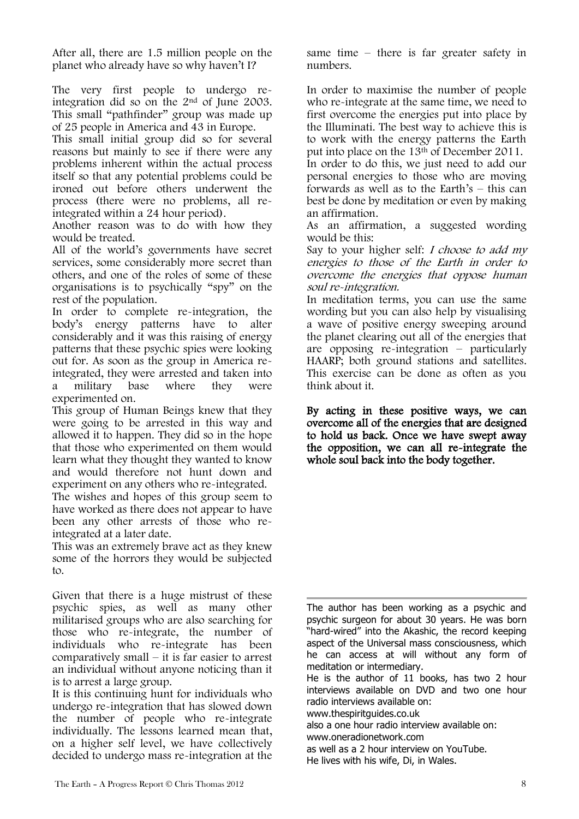After all, there are 1.5 million people on the planet who already have so why haven't I?

The very first people to undergo reintegration did so on the 2nd of June 2003. This small "pathfinder" group was made up of 25 people in America and 43 in Europe.

This small initial group did so for several reasons but mainly to see if there were any problems inherent within the actual process itself so that any potential problems could be ironed out before others underwent the process (there were no problems, all reintegrated within a 24 hour period).

Another reason was to do with how they would be treated.

All of the world's governments have secret services, some considerably more secret than others, and one of the roles of some of these organisations is to psychically "spy" on the rest of the population.

In order to complete re-integration, the body's energy patterns have to alter considerably and it was this raising of energy patterns that these psychic spies were looking out for. As soon as the group in America reintegrated, they were arrested and taken into a military base where they were experimented on.

This group of Human Beings knew that they were going to be arrested in this way and allowed it to happen. They did so in the hope that those who experimented on them would learn what they thought they wanted to know and would therefore not hunt down and experiment on any others who re-integrated.

The wishes and hopes of this group seem to have worked as there does not appear to have been any other arrests of those who reintegrated at a later date.

This was an extremely brave act as they knew some of the horrors they would be subjected to.

Given that there is a huge mistrust of these psychic spies, as well as many other militarised groups who are also searching for those who re-integrate, the number of individuals who re-integrate has been comparatively small – it is far easier to arrest an individual without anyone noticing than it is to arrest a large group.

It is this continuing hunt for individuals who undergo re-integration that has slowed down the number of people who re-integrate individually. The lessons learned mean that, on a higher self level, we have collectively decided to undergo mass re-integration at the

The Earth – A Progress Report © Chris Thomas 2012 8

same time – there is far greater safety in numbers.

In order to maximise the number of people who re-integrate at the same time, we need to first overcome the energies put into place by the Illuminati. The best way to achieve this is to work with the energy patterns the Earth put into place on the 13th of December 2011. In order to do this, we just need to add our personal energies to those who are moving forwards as well as to the Earth's – this can best be done by meditation or even by making an affirmation.

As an affirmation, a suggested wording would be this:

Say to your higher self: *I choose to add my* energies to those of the Earth in order to overcome the energies that oppose human soul re-integration.

In meditation terms, you can use the same wording but you can also help by visualising a wave of positive energy sweeping around the planet clearing out all of the energies that are opposing re-integration – particularly HAARP; both ground stations and satellites. This exercise can be done as often as you think about it.

By acting in these positive ways, we can overcome all of the energies that are designed to hold us back. Once we have swept away the opposition, we can all re-integrate the whole soul back into the body together.

The author has been working as a psychic and psychic surgeon for about 30 years. He was born "hard-wired" into the Akashic, the record keeping aspect of the Universal mass consciousness, which he can access at will without any form of meditation or intermediary.

He is the author of 11 books, has two 2 hour interviews available on DVD and two one hour radio interviews available on:

www.thespiritguides.co.uk

also a one hour radio interview available on: www.oneradionetwork.com

as well as a 2 hour interview on YouTube. He lives with his wife, Di, in Wales.